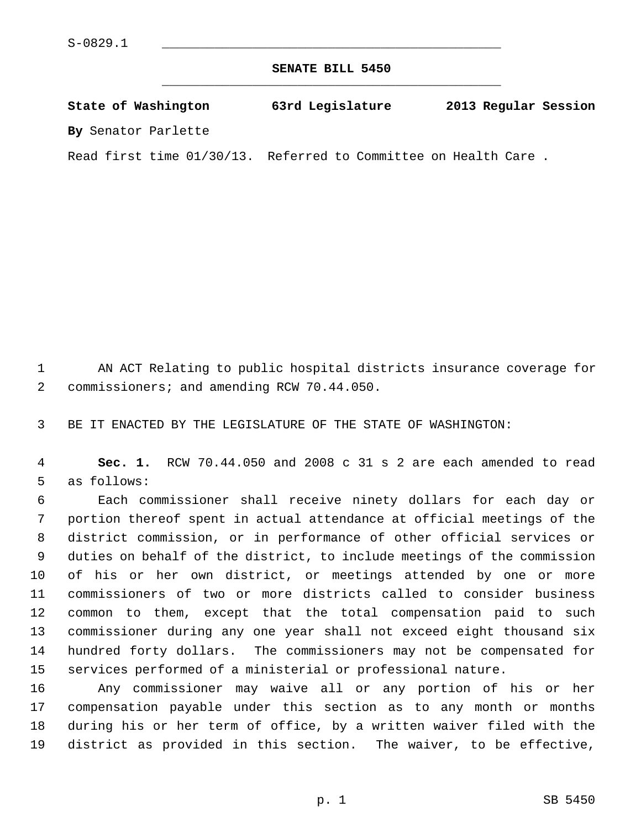**SENATE BILL 5450** \_\_\_\_\_\_\_\_\_\_\_\_\_\_\_\_\_\_\_\_\_\_\_\_\_\_\_\_\_\_\_\_\_\_\_\_\_\_\_\_\_\_\_\_\_

**State of Washington 63rd Legislature 2013 Regular Session By** Senator Parlette

Read first time 01/30/13. Referred to Committee on Health Care .

 1 AN ACT Relating to public hospital districts insurance coverage for 2 commissioners; and amending RCW 70.44.050.

3 BE IT ENACTED BY THE LEGISLATURE OF THE STATE OF WASHINGTON:

 4 **Sec. 1.** RCW 70.44.050 and 2008 c 31 s 2 are each amended to read 5 as follows:

 6 Each commissioner shall receive ninety dollars for each day or 7 portion thereof spent in actual attendance at official meetings of the 8 district commission, or in performance of other official services or 9 duties on behalf of the district, to include meetings of the commission 10 of his or her own district, or meetings attended by one or more 11 commissioners of two or more districts called to consider business 12 common to them, except that the total compensation paid to such 13 commissioner during any one year shall not exceed eight thousand six 14 hundred forty dollars. The commissioners may not be compensated for 15 services performed of a ministerial or professional nature.

16 Any commissioner may waive all or any portion of his or her 17 compensation payable under this section as to any month or months 18 during his or her term of office, by a written waiver filed with the 19 district as provided in this section. The waiver, to be effective,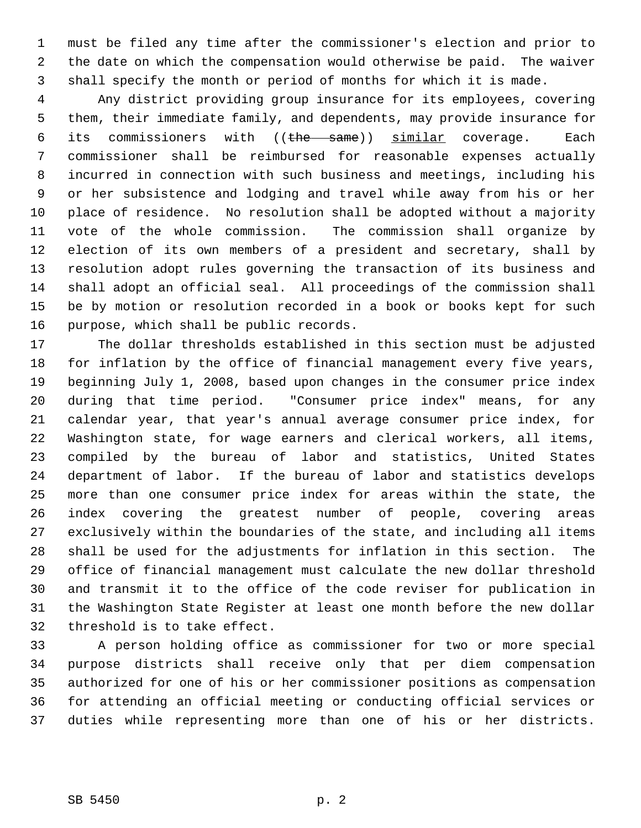1 must be filed any time after the commissioner's election and prior to 2 the date on which the compensation would otherwise be paid. The waiver 3 shall specify the month or period of months for which it is made.

 4 Any district providing group insurance for its employees, covering 5 them, their immediate family, and dependents, may provide insurance for 6 its commissioners with ((the same)) similar coverage. Each 7 commissioner shall be reimbursed for reasonable expenses actually 8 incurred in connection with such business and meetings, including his 9 or her subsistence and lodging and travel while away from his or her 10 place of residence. No resolution shall be adopted without a majority 11 vote of the whole commission. The commission shall organize by 12 election of its own members of a president and secretary, shall by 13 resolution adopt rules governing the transaction of its business and 14 shall adopt an official seal. All proceedings of the commission shall 15 be by motion or resolution recorded in a book or books kept for such 16 purpose, which shall be public records.

17 The dollar thresholds established in this section must be adjusted 18 for inflation by the office of financial management every five years, 19 beginning July 1, 2008, based upon changes in the consumer price index 20 during that time period. "Consumer price index" means, for any 21 calendar year, that year's annual average consumer price index, for 22 Washington state, for wage earners and clerical workers, all items, 23 compiled by the bureau of labor and statistics, United States 24 department of labor. If the bureau of labor and statistics develops 25 more than one consumer price index for areas within the state, the 26 index covering the greatest number of people, covering areas 27 exclusively within the boundaries of the state, and including all items 28 shall be used for the adjustments for inflation in this section. The 29 office of financial management must calculate the new dollar threshold 30 and transmit it to the office of the code reviser for publication in 31 the Washington State Register at least one month before the new dollar 32 threshold is to take effect.

33 A person holding office as commissioner for two or more special 34 purpose districts shall receive only that per diem compensation 35 authorized for one of his or her commissioner positions as compensation 36 for attending an official meeting or conducting official services or 37 duties while representing more than one of his or her districts.